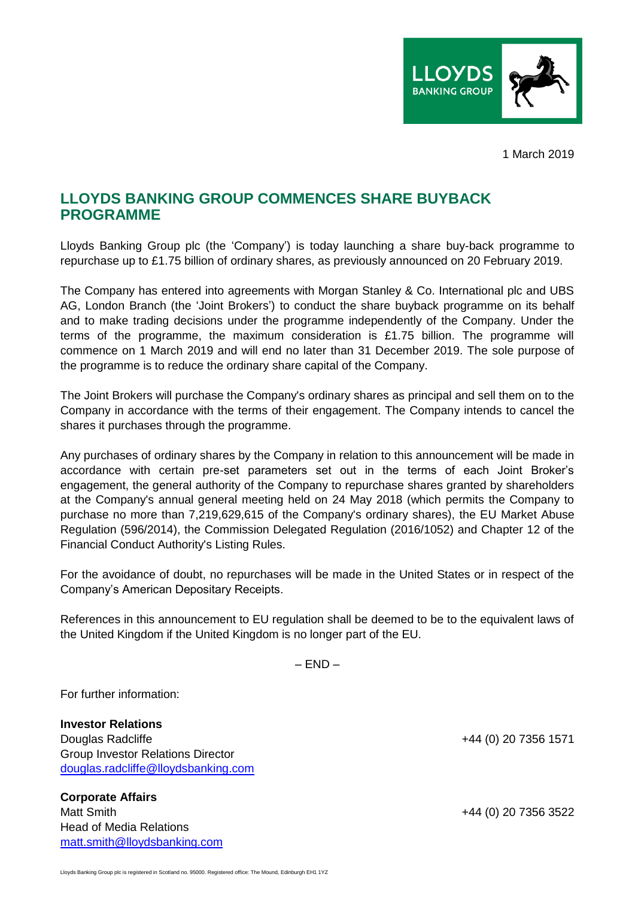

1 March 2019

## **LLOYDS BANKING GROUP COMMENCES SHARE BUYBACK PROGRAMME**

Lloyds Banking Group plc (the 'Company') is today launching a share buy-back programme to repurchase up to £1.75 billion of ordinary shares, as previously announced on 20 February 2019.

The Company has entered into agreements with Morgan Stanley & Co. International plc and UBS AG, London Branch (the 'Joint Brokers') to conduct the share buyback programme on its behalf and to make trading decisions under the programme independently of the Company. Under the terms of the programme, the maximum consideration is £1.75 billion. The programme will commence on 1 March 2019 and will end no later than 31 December 2019. The sole purpose of the programme is to reduce the ordinary share capital of the Company.

The Joint Brokers will purchase the Company's ordinary shares as principal and sell them on to the Company in accordance with the terms of their engagement. The Company intends to cancel the shares it purchases through the programme.

Any purchases of ordinary shares by the Company in relation to this announcement will be made in accordance with certain pre-set parameters set out in the terms of each Joint Broker's engagement, the general authority of the Company to repurchase shares granted by shareholders at the Company's annual general meeting held on 24 May 2018 (which permits the Company to purchase no more than 7,219,629,615 of the Company's ordinary shares), the EU Market Abuse Regulation (596/2014), the Commission Delegated Regulation (2016/1052) and Chapter 12 of the Financial Conduct Authority's Listing Rules.

For the avoidance of doubt, no repurchases will be made in the United States or in respect of the Company's American Depositary Receipts.

References in this announcement to EU regulation shall be deemed to be to the equivalent laws of the United Kingdom if the United Kingdom is no longer part of the EU.

 $-$  END  $-$ 

For further information:

**Investor Relations** Douglas Radcliffe +44 (0) 20 7356 1571 Group Investor Relations Director [douglas.radcliffe@lloydsbanking.com](mailto:douglas.radcliffe@lloydsbanking.com)

**Corporate Affairs** Matt Smith +44 (0) 20 7356 3522 Head of Media Relations [matt.smith@lloydsbanking.com](mailto:matt.smith@lloydsbanking.com)